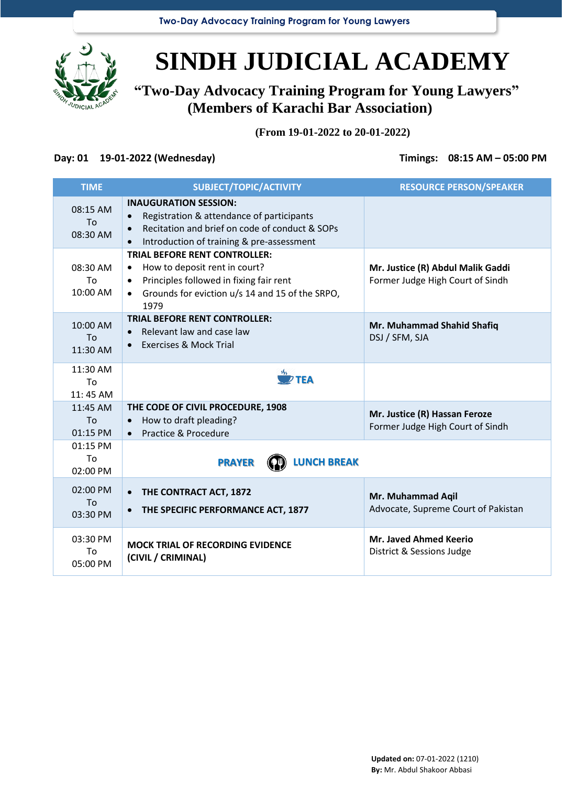**Two-Day Advocacy Training Program for Young Lawyers**



## **SINDH JUDICIAL ACADEMY**

**"Two-Day Advocacy Training Program for Young Lawyers" (Members of Karachi Bar Association)**

**(From 19-01-2022 to 20-01-2022)**

## **Day: 01 19-01-2022 (Wednesday) Timings: 08:15 AM – 05:00 PM**

| <b>TIME</b>                | SUBJECT/TOPIC/ACTIVITY                                                                                                                                                                                             | <b>RESOURCE PERSON/SPEAKER</b>                                        |
|----------------------------|--------------------------------------------------------------------------------------------------------------------------------------------------------------------------------------------------------------------|-----------------------------------------------------------------------|
| 08:15 AM<br>To<br>08:30 AM | <b>INAUGURATION SESSION:</b><br>Registration & attendance of participants<br>Recitation and brief on code of conduct & SOPs<br>$\bullet$<br>Introduction of training & pre-assessment                              |                                                                       |
| 08:30 AM<br>To<br>10:00 AM | <b>TRIAL BEFORE RENT CONTROLLER:</b><br>How to deposit rent in court?<br>$\bullet$<br>Principles followed in fixing fair rent<br>$\bullet$<br>Grounds for eviction u/s 14 and 15 of the SRPO,<br>$\bullet$<br>1979 | Mr. Justice (R) Abdul Malik Gaddi<br>Former Judge High Court of Sindh |
| 10:00 AM<br>To<br>11:30 AM | <b>TRIAL BEFORE RENT CONTROLLER:</b><br>Relevant law and case law<br><b>Exercises &amp; Mock Trial</b><br>$\bullet$                                                                                                | Mr. Muhammad Shahid Shafiq<br>DSJ / SFM, SJA                          |
| 11:30 AM<br>To<br>11:45 AM | $\frac{M_{\rm S}}{M}$ TEA                                                                                                                                                                                          |                                                                       |
| 11:45 AM<br>To<br>01:15 PM | THE CODE OF CIVIL PROCEDURE, 1908<br>How to draft pleading?<br>$\bullet$<br>Practice & Procedure<br>$\bullet$                                                                                                      | Mr. Justice (R) Hassan Feroze<br>Former Judge High Court of Sindh     |
| 01:15 PM<br>To<br>02:00 PM | <b>LUNCH BREAK</b><br><b>PRAYER</b>                                                                                                                                                                                |                                                                       |
| 02:00 PM<br>To<br>03:30 PM | THE CONTRACT ACT, 1872<br>THE SPECIFIC PERFORMANCE ACT, 1877<br>$\bullet$                                                                                                                                          | Mr. Muhammad Aqil<br>Advocate, Supreme Court of Pakistan              |
| 03:30 PM<br>To<br>05:00 PM | <b>MOCK TRIAL OF RECORDING EVIDENCE</b><br>(CIVIL / CRIMINAL)                                                                                                                                                      | <b>Mr. Javed Ahmed Keerio</b><br>District & Sessions Judge            |